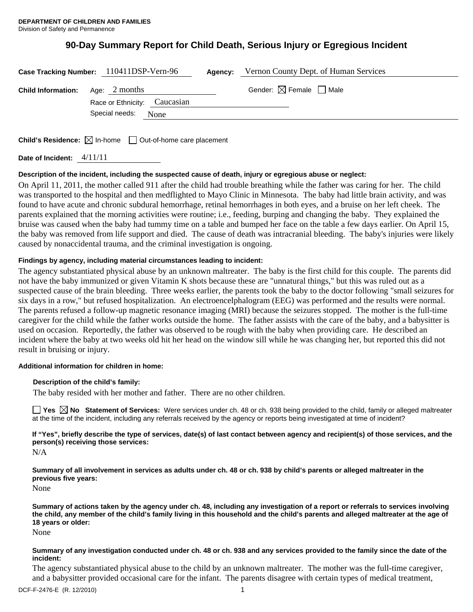# **90-Day Summary Report for Child Death, Serious Injury or Egregious Incident**

|                                           | Case Tracking Number: 110411DSP-Vern-96 | Agency: | Vernon County Dept. of Human Services  |  |
|-------------------------------------------|-----------------------------------------|---------|----------------------------------------|--|
| <b>Child Information:</b> Age: $2$ months |                                         |         | Gender: $\boxtimes$ Female $\Box$ Male |  |
|                                           | Race or Ethnicity: Caucasian            |         |                                        |  |
|                                           | Special needs:<br>None                  |         |                                        |  |
|                                           |                                         |         |                                        |  |

**Child's Residence:**  $\boxtimes$  In-home  $\Box$  Out-of-home care placement

**Date of Incident:** 4/11/11

# **Description of the incident, including the suspected cause of death, injury or egregious abuse or neglect:**

On April 11, 2011, the mother called 911 after the child had trouble breathing while the father was caring for her. The child was transported to the hospital and then medflighted to Mayo Clinic in Minnesota. The baby had little brain activity, and was found to have acute and chronic subdural hemorrhage, retinal hemorrhages in both eyes, and a bruise on her left cheek. The parents explained that the morning activities were routine; i.e., feeding, burping and changing the baby. They explained the bruise was caused when the baby had tummy time on a table and bumped her face on the table a few days earlier. On April 15, the baby was removed from life support and died. The cause of death was intracranial bleeding. The baby's injuries were likely caused by nonaccidental trauma, and the criminal investigation is ongoing.

# **Findings by agency, including material circumstances leading to incident:**

The agency substantiated physical abuse by an unknown maltreater. The baby is the first child for this couple. The parents did not have the baby immunized or given Vitamin K shots because these are "unnatural things," but this was ruled out as a suspected cause of the brain bleeding. Three weeks earlier, the parents took the baby to the doctor following "small seizures for six days in a row," but refused hospitalization. An electroencelphalogram (EEG) was performed and the results were normal. The parents refused a follow-up magnetic resonance imaging (MRI) because the seizures stopped. The mother is the full-time caregiver for the child while the father works outside the home. The father assists with the care of the baby, and a babysitter is used on occasion. Reportedly, the father was observed to be rough with the baby when providing care. He described an incident where the baby at two weeks old hit her head on the window sill while he was changing her, but reported this did not result in bruising or injury.

# **Additional information for children in home:**

# **Description of the child's family:**

The baby resided with her mother and father. There are no other children.

**Yes No Statement of Services:** Were services under ch. 48 or ch. 938 being provided to the child, family or alleged maltreater at the time of the incident, including any referrals received by the agency or reports being investigated at time of incident?

**If "Yes", briefly describe the type of services, date(s) of last contact between agency and recipient(s) of those services, and the person(s) receiving those services:** 

N/A

**Summary of all involvement in services as adults under ch. 48 or ch. 938 by child's parents or alleged maltreater in the previous five years:** 

None

**Summary of actions taken by the agency under ch. 48, including any investigation of a report or referrals to services involving the child, any member of the child's family living in this household and the child's parents and alleged maltreater at the age of 18 years or older:** 

None

#### **Summary of any investigation conducted under ch. 48 or ch. 938 and any services provided to the family since the date of the incident:**

The agency substantiated physical abuse to the child by an unknown maltreater. The mother was the full-time caregiver, and a babysitter provided occasional care for the infant. The parents disagree with certain types of medical treatment,